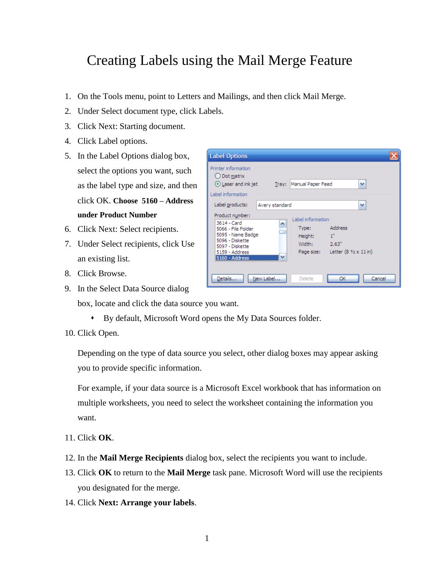## Creating Labels using the Mail Merge Feature

**Label Options** 

- 1. On the Tools menu, point to Letters and Mailings, and then click Mail Merge.
- 2. Under Select document type, click Labels.
- 3. Click Next: Starting document.
- 4. Click Label options.
- 5. In the Label Options dialog box, select the options you want, such as the label type and size, and then click OK. **Choose 5160 – Address under Product Number**
- 6. Click Next: Select recipients.
- 7. Under Select recipients, click Use an existing list.
- 8. Click Browse.
- 9. In the Select Data Source dialog

| Printer information<br>$\bigcirc$ Dot matrix<br>⊙ Laser and ink jet<br>v<br>Manual Paper Feed<br>Tray:<br>Label information                                                                                                                                                       |
|-----------------------------------------------------------------------------------------------------------------------------------------------------------------------------------------------------------------------------------------------------------------------------------|
| Label products:<br>v<br>Avery standard<br>Product number:                                                                                                                                                                                                                         |
| Label information<br>3614 - Card<br>۸<br><b>Address</b><br>Type:<br>5066 - File Folder<br>5095 - Name Badge<br>1"<br>Height:<br>5096 - Diskette<br>Width:<br>2.63"<br>5097 - Diskette<br>Letter $(8 \frac{1}{2} \times 11)$ in)<br>Page size:<br>5159 - Address<br>5160 - Address |
| New Label<br>Details<br>Delete<br>OK<br>Cancel                                                                                                                                                                                                                                    |

- box, locate and click the data source you want.
	- By default, Microsoft Word opens the My Data Sources folder.
- 10. Click Open.

Depending on the type of data source you select, other dialog boxes may appear asking you to provide specific information.

For example, if your data source is a Microsoft Excel workbook that has information on multiple worksheets, you need to select the worksheet containing the information you want.

- 11. Click **OK**.
- 12. In the **Mail Merge Recipients** dialog box, select the recipients you want to include.
- 13. Click **OK** to return to the **Mail Merge** task pane. Microsoft Word will use the recipients you designated for the merge.
- 14. Click **Next: Arrange your labels**.